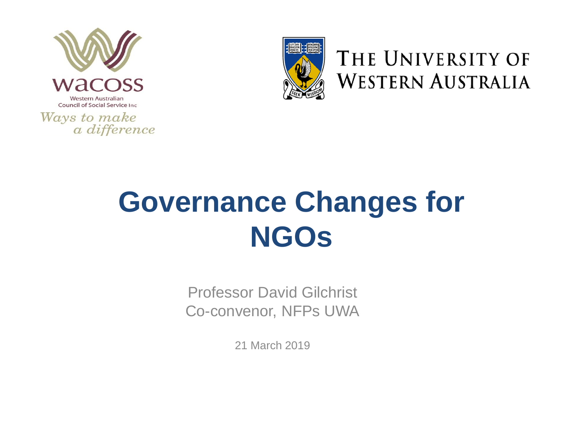



THE UNIVERSITY OF **WESTERN AUSTRALIA** 

#### **Governance Changes for NGOs**

Professor David Gilchrist Co-convenor, NFPs UWA

21 March 2019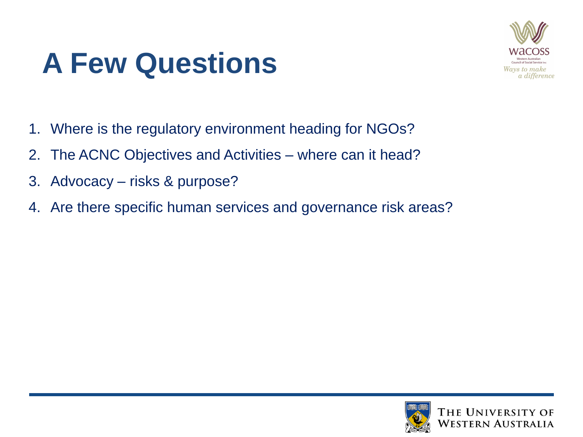#### **A Few Questions**



- 1. Where is the regulatory environment heading for NGOs?
- 2. The ACNC Objectives and Activities where can it head?
- 3. Advocacy risks & purpose?
- 4. Are there specific human services and governance risk areas?

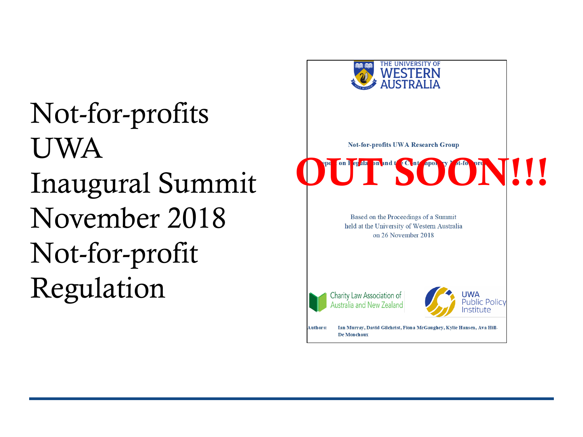Not-for-profits UWA Inaugural Summit November 2018 Not-for-profit Regulation



**Not-for-profits UWA Research Group** 

OUT SEAR MARIE CALIFONNE AND DE



Charity Law Association of Australia and New



Ian Murray, David Gilchrist, Fiona McGaughey, Kylie Hansen, Ava Hill-**Authors:** De Monchaux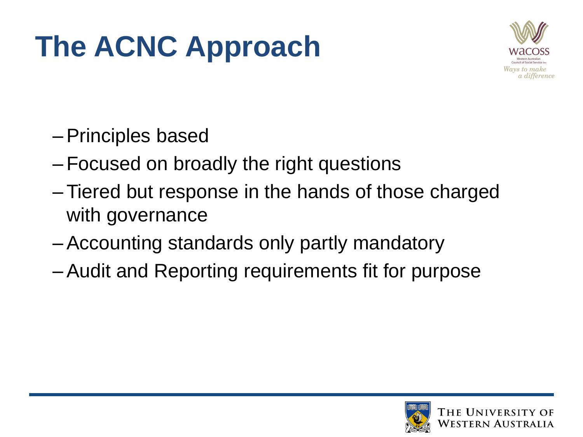## **The ACNC Approach**



- –Principles based
- –Focused on broadly the right questions
- –Tiered but response in the hands of those charged with governance
- –Accounting standards only partly mandatory
- –Audit and Reporting requirements fit for purpose

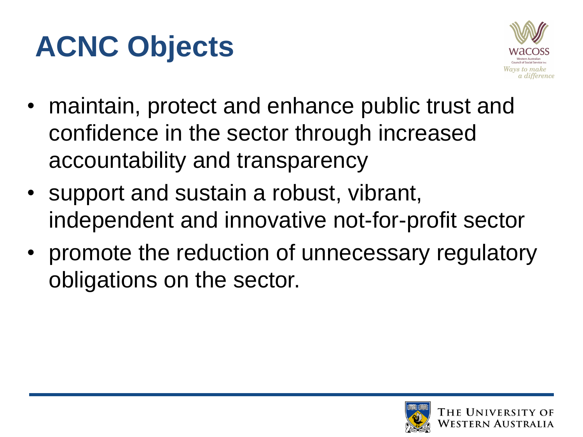#### **ACNC Objects**



- maintain, protect and enhance public trust and confidence in the sector through increased accountability and transparency
- support and sustain a robust, vibrant, independent and innovative not-for-profit sector
- promote the reduction of unnecessary regulatory obligations on the sector.

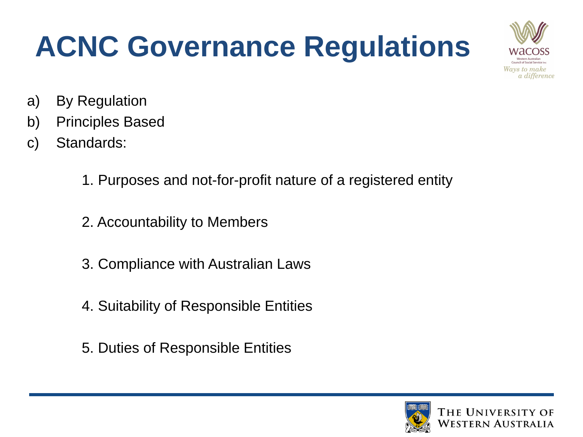## **ACNC Governance Regulations**



- a) By Regulation
- b) Principles Based
- c) Standards:
	- 1. Purposes and not-for-profit nature of a registered entity
	- 2. Accountability to Members
	- 3. Compliance with Australian Laws
	- 4. Suitability of Responsible Entities
	- 5. Duties of Responsible Entities

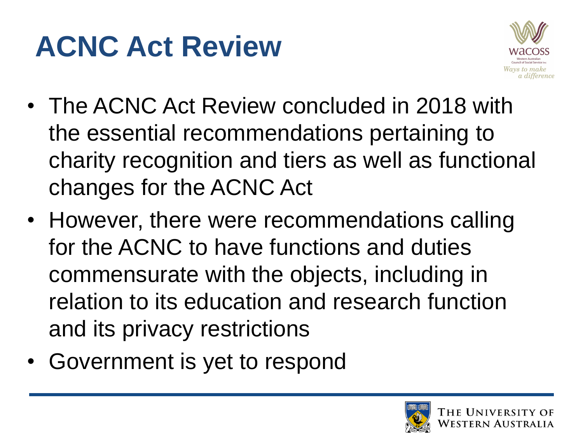#### **ACNC Act Review**



- The ACNC Act Review concluded in 2018 with the essential recommendations pertaining to charity recognition and tiers as well as functional changes for the ACNC Act
- However, there were recommendations calling for the ACNC to have functions and duties commensurate with the objects, including in relation to its education and research function and its privacy restrictions
- Government is yet to respond

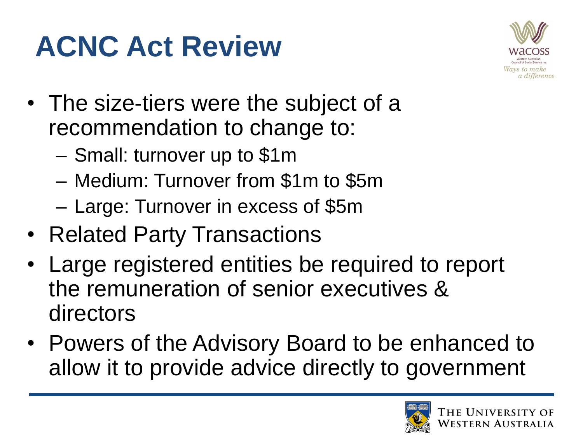## **ACNC Act Review**



- The size-tiers were the subject of a recommendation to change to:
	- Small: turnover up to \$1m
	- Medium: Turnover from \$1m to \$5m
	- Large: Turnover in excess of \$5m
- Related Party Transactions
- Large registered entities be required to report the remuneration of senior executives & directors
- Powers of the Advisory Board to be enhanced to allow it to provide advice directly to government

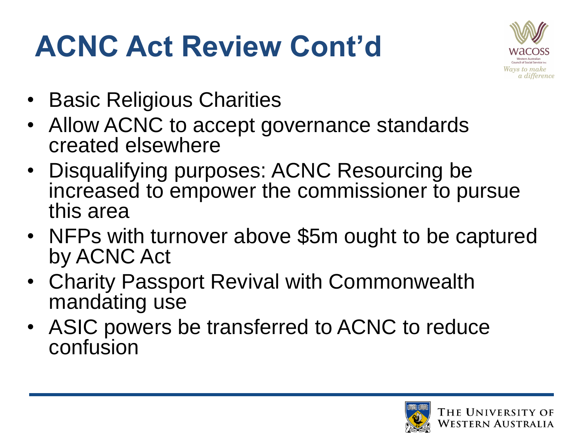## **ACNC Act Review Cont'd**



- Basic Religious Charities
- Allow ACNC to accept governance standards created elsewhere
- Disqualifying purposes: ACNC Resourcing be increased to empower the commissioner to pursue this area
- NFPs with turnover above \$5m ought to be captured by ACNC Act
- Charity Passport Revival with Commonwealth mandating use
- ASIC powers be transferred to ACNC to reduce confusion

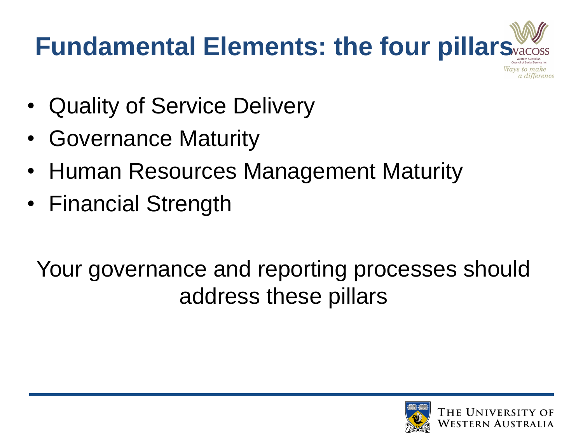

- Quality of Service Delivery
- Governance Maturity
- Human Resources Management Maturity
- Financial Strength

#### Your governance and reporting processes should address these pillars

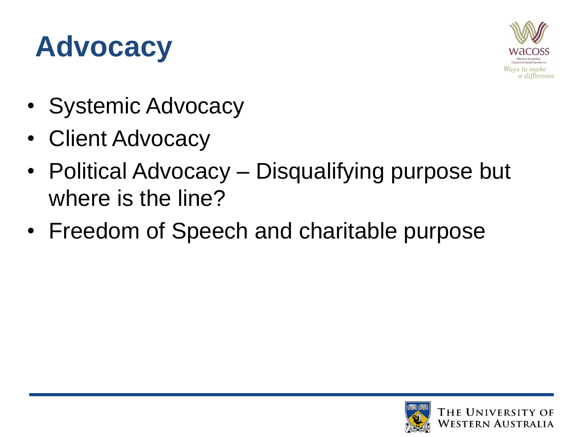#### **Advocacy**



- Systemic Advocacy
- Client Advocacy
- Political Advocacy Disqualifying purpose but where is the line?
- Freedom of Speech and charitable purpose

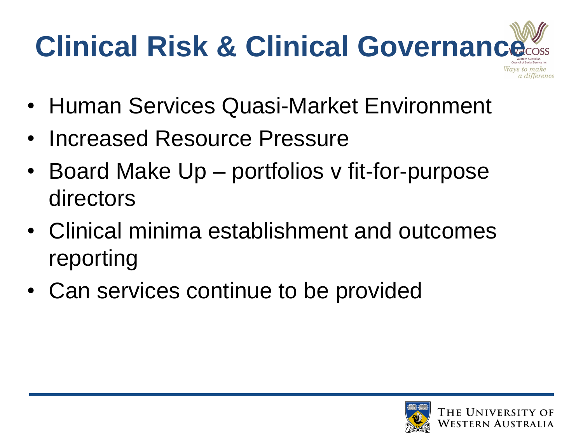# **Clinical Risk & Clinical Governance**

- Human Services Quasi-Market Environment
- Increased Resource Pressure
- Board Make Up portfolios v fit-for-purpose directors
- Clinical minima establishment and outcomes reporting
- Can services continue to be provided



a difference